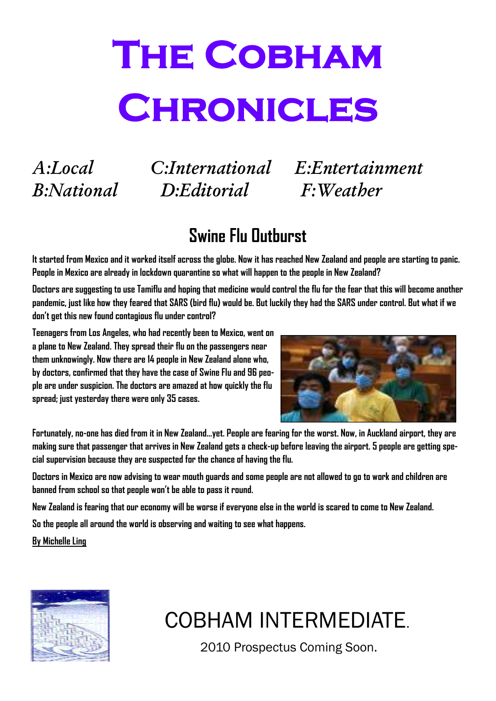# **The Cobham Chronicles**

*B:National D:Editorial F:Weather* 

*A:Local C:International E:Entertainment* 

### **Swine Flu Outburst**

**It started from Mexico and it worked itself across the globe. Now it has reached New Zealand and people are starting to panic. People in Mexico are already in lockdown quarantine so what will happen to the people in New Zealand?** 

**Doctors are suggesting to use Tamiflu and hoping that medicine would control the flu for the fear that this will become another pandemic, just like how they feared that SARS (bird flu) would be. But luckily they had the SARS under control. But what if we don't get this new found contagious flu under control?** 

**Teenagers from Los Angeles, who had recently been to Mexico, went on a plane to New Zealand. They spread their flu on the passengers near them unknowingly. Now there are 14 people in New Zealand alone who, by doctors, confirmed that they have the case of Swine Flu and 96 people are under suspicion. The doctors are amazed at how quickly the flu spread; just yesterday there were only 35 cases.** 



**Fortunately, no-one has died from it in New Zealand…yet. People are fearing for the worst. Now, in Auckland airport, they are making sure that passenger that arrives in New Zealand gets a check-up before leaving the airport. 5 people are getting special supervision because they are suspected for the chance of having the flu.** 

**Doctors in Mexico are now advising to wear mouth guards and some people are not allowed to go to work and children are banned from school so that people won't be able to pass it round.** 

**New Zealand is fearing that our economy will be worse if everyone else in the world is scared to come to New Zealand.** 

**So the people all around the world is observing and waiting to see what happens.** 

**By Michelle Ling**



### COBHAM INTERMEDIATE.

2010 Prospectus Coming Soon.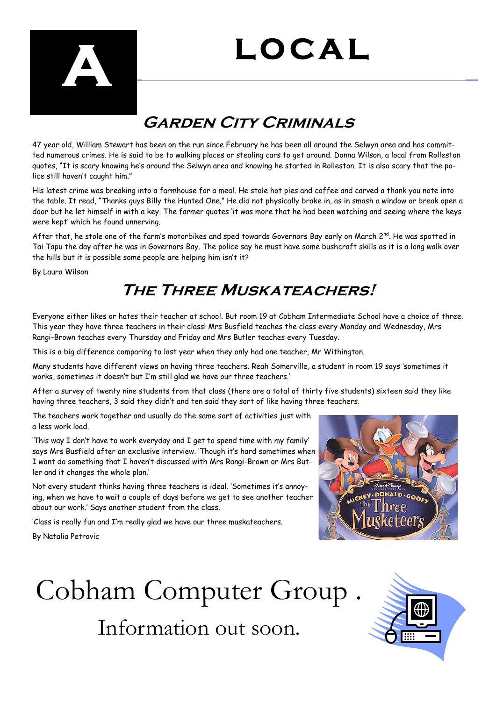# **LOCAL**



#### **GARDEN CITY CRIMINALS**

47 year old, William Stewart has been on the run since February he has been all around the Selwyn area and has committed numerous crimes. He is said to be to walking places or stealing cars to get around. Donna Wilson, a local from Rolleston quotes, "It is scary knowing he's around the Selwyn area and knowing he started in Rolleston. It is also scary that the police still haven't caught him."

His latest crime was breaking into a farmhouse for a meal. He stole hot pies and coffee and carved a thank you note into the table. It read, "Thanks guys Billy the Hunted One." He did not physically brake in, as in smash a window or break open a door but he let himself in with a key. The farmer quotes 'it was more that he had been watching and seeing where the keys were kept' which he found unnerving.

After that, he stole one of the farm's motorbikes and sped towards Governors Bay early on March  $2^{nd}$ . He was spotted in Tai Tapu the day after he was in Governors Bay. The police say he must have some bushcraft skills as it is a long walk over the hills but it is possible some people are helping him isn't it?

By Laura Wilson

#### **The Three Muskateachers!**

Everyone either likes or hates their teacher at school. But room 19 at Cobham Intermediate School have a choice of three. This year they have three teachers in their class! Mrs Busfield teaches the class every Monday and Wednesday, Mrs Rangi-Brown teaches every Thursday and Friday and Mrs Butler teaches every Tuesday.

This is a big difference comparing to last year when they only had one teacher, Mr Withington.

Many students have different views on having three teachers. Reah Somerville, a student in room 19 says 'sometimes it works, sometimes it doesn't but I'm still glad we have our three teachers.'

After a survey of twenty nine students from that class (there are a total of thirty five students) sixteen said they like having three teachers, 3 said they didn't and ten said they sort of like having three teachers.

The teachers work together and usually do the same sort of activities just with a less work load.

'This way I don't have to work everyday and I get to spend time with my family' says Mrs Busfield after an exclusive interview. 'Though it's hard sometimes when I want do something that I haven't discussed with Mrs Rangi-Brown or Mrs Butler and it changes the whole plan.'

Not every student thinks having three teachers is ideal. 'Sometimes it's annoying, when we have to wait a couple of days before we get to see another teacher about our work.' Says another student from the class.

'Class is really fun and I'm really glad we have our three muskateachers.

By Natalia Petrovic



### Cobham Computer Group . Information out soon.

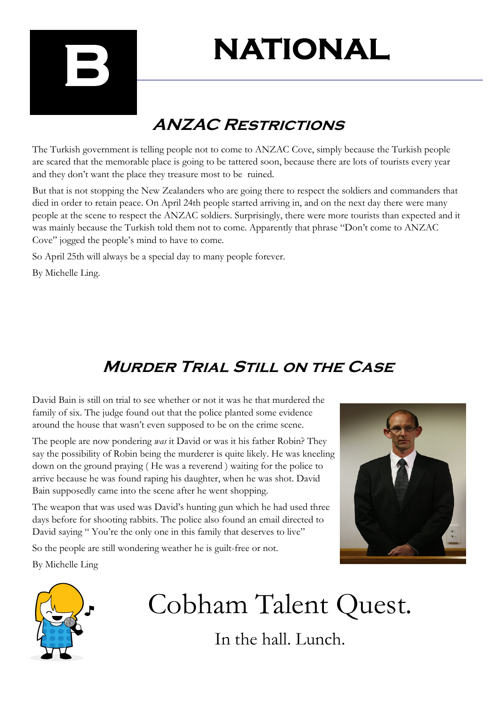

# **NATIONAL**

### **ANZAC Restrictions**

The Turkish government is telling people not to come to ANZAC Cove, simply because the Turkish people are scared that the memorable place is going to be tattered soon, because there are lots of tourists every year and they don't want the place they treasure most to be ruined.

But that is not stopping the New Zealanders who are going there to respect the soldiers and commanders that died in order to retain peace. On April 24th people started arriving in, and on the next day there were many people at the scene to respect the ANZAC soldiers. Surprisingly, there were more tourists than expected and it was mainly because the Turkish told them not to come. Apparently that phrase "Don't come to ANZAC Cove" jogged the people's mind to have to come.

So April 25th will always be a special day to many people forever.

By Michelle Ling.

### **Murder Trial Still on the Case**

David Bain is still on trial to see whether or not it was he that murdered the family of six. The judge found out that the police planted some evidence around the house that wasn't even supposed to be on the crime scene.

The people are now pondering *was* it David or was it his father Robin? They say the possibility of Robin being the murderer is quite likely. He was kneeling down on the ground praying ( He was a reverend ) waiting for the police to arrive because he was found raping his daughter, when he was shot. David Bain supposedly came into the scene after he went shopping.

The weapon that was used was David's hunting gun which he had used three days before for shooting rabbits. The police also found an email directed to David saying "You're the only one in this family that deserves to live"

So the people are still wondering weather he is guilt-free or not.

By Michelle Ling





# Cobham Talent Quest.

In the hall. Lunch.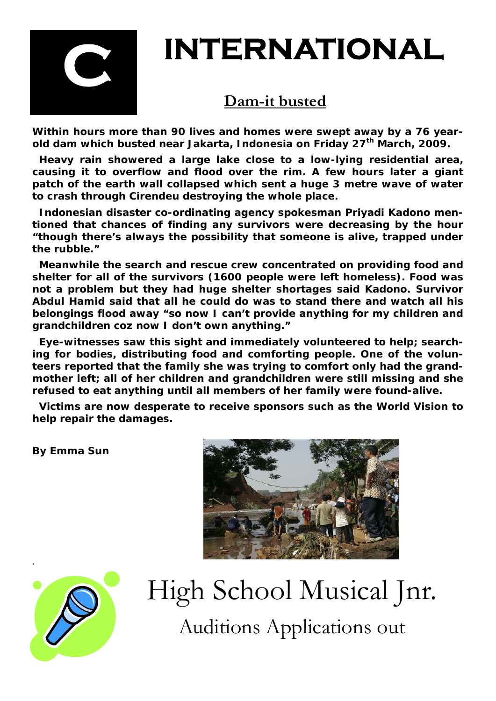

## **INTERNATIONAL**

#### **Dam-it busted**

**Within hours more than 90 lives and homes were swept away by a 76 yearold dam which busted near Jakarta, Indonesia on Friday 27th March, 2009.** 

 **Heavy rain showered a large lake close to a low-lying residential area, causing it to overflow and flood over the rim. A few hours later a giant patch of the earth wall collapsed which sent a huge 3 metre wave of water to crash through Cirendeu destroying the whole place.** 

 **Indonesian disaster co-ordinating agency spokesman Priyadi Kadono mentioned that chances of finding any survivors were decreasing by the hour "though there's always the possibility that someone is alive, trapped under the rubble."** 

 **Meanwhile the search and rescue crew concentrated on providing food and shelter for all of the survivors (1600 people were left homeless). Food was not a problem but they had huge shelter shortages said Kadono. Survivor Abdul Hamid said that all he could do was to stand there and watch all his belongings flood away "so now I can't provide anything for my children and grandchildren coz now I don't own anything."** 

 **Eye-witnesses saw this sight and immediately volunteered to help; searching for bodies, distributing food and comforting people. One of the volunteers reported that the family she was trying to comfort only had the grandmother left; all of her children and grandchildren were still missing and she refused to eat anything until all members of her family were found-alive.** 

 **Victims are now desperate to receive sponsors such as the World Vision to help repair the damages.** 

**By Emma Sun** 





### High School Musical Jnr. Auditions Applications out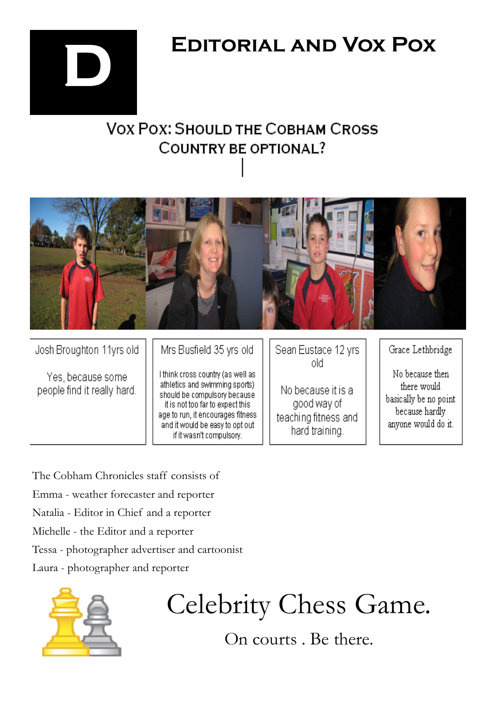

### **EDITORIAL AND VOX POX**

### **VOX POX: SHOULD THE COBHAM CROSS** COUNTRY BE OPTIONAL?



Josh Broughton 11yrs old

Yes, because some people find it really hard. Mrs Busfield 35 yrs old

I think cross country (as well as athletics and swimming sports) should be compulsory because it is not too far to expect this age to run, it encourages fitness. and it would be easy to opt out if it wasn't compulsory.

Sean Eustace 12 yrs old

No because it is a good way of teaching fitness and hard training.

Grace Lethbridge

No because then there would basically be no point because hardly anyone would do it.

The Cobham Chronicles staff consists of Emma - weather forecaster and reporter Natalia - Editor in Chief and a reporter Michelle - the Editor and a reporter Tessa - photographer advertiser and cartoonist Laura - photographer and reporter



Celebrity Chess Game.

On courts . Be there.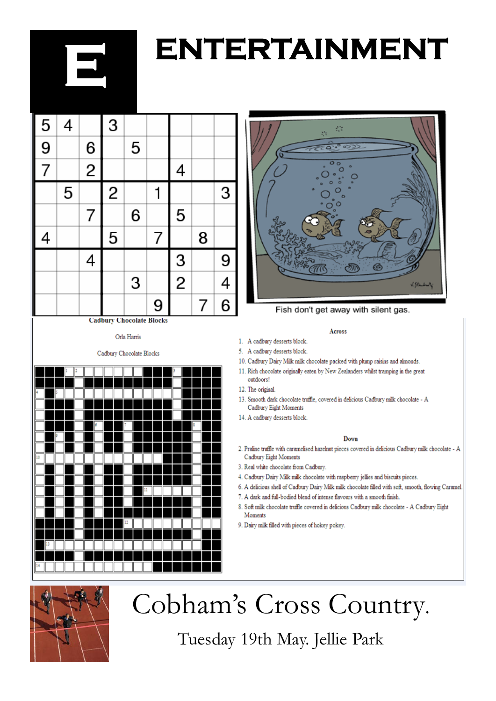# **ENTERTAINMENT**



**Cadbury Chocolate Blocks** 

#### Orla Harris

Cadbury Chocolate Blocks





Fish don't get away with silent gas.

#### Across

1. A cadbury desserts block.

5. A cadbury desserts block.

10. Cadbury Dairy Milk milk chocolate packed with plump raisins and almonds.

11. Rich chocolate originally eaten by New Zealanders whilst tramping in the great outdoors!

12. The original

13. Smooth dark chocolate truffle, covered in delicious Cadbury milk chocolate - A Cadbury Eight Moments

14. A cadbury desserts block

#### Down

- 2. Praline truffle with caramelised hazelnut pieces covered in delicious Cadbury milk chocolate A Cadbury Eight Moments
- 3. Real white chocolate from Cadbury.
- 4. Cadbury Dairy Milk milk chocolate with raspberry jellies and biscuits pieces.
- 6. A delicious shell of Cadbury Dairy Milk milk chocolate filled with soft, smooth, flowing Caramel.
- 7. A dark and full-bodied blend of intense flavours with a smooth finish.

8. Soft milk chocolate truffle covered in delicious Cadbury milk chocolate - A Cadbury Eight Moments

9. Dairy milk filled with pieces of hokey pokey.



### Cobham's Cross Country.

Tuesday 19th May. Jellie Park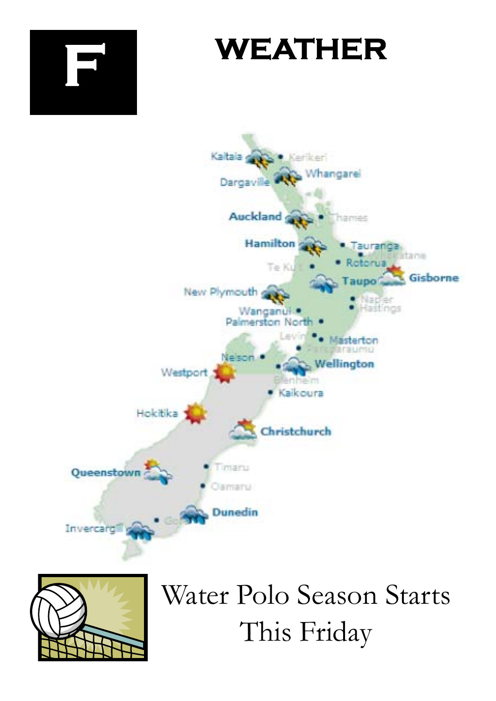



Water Polo Season Starts This Friday